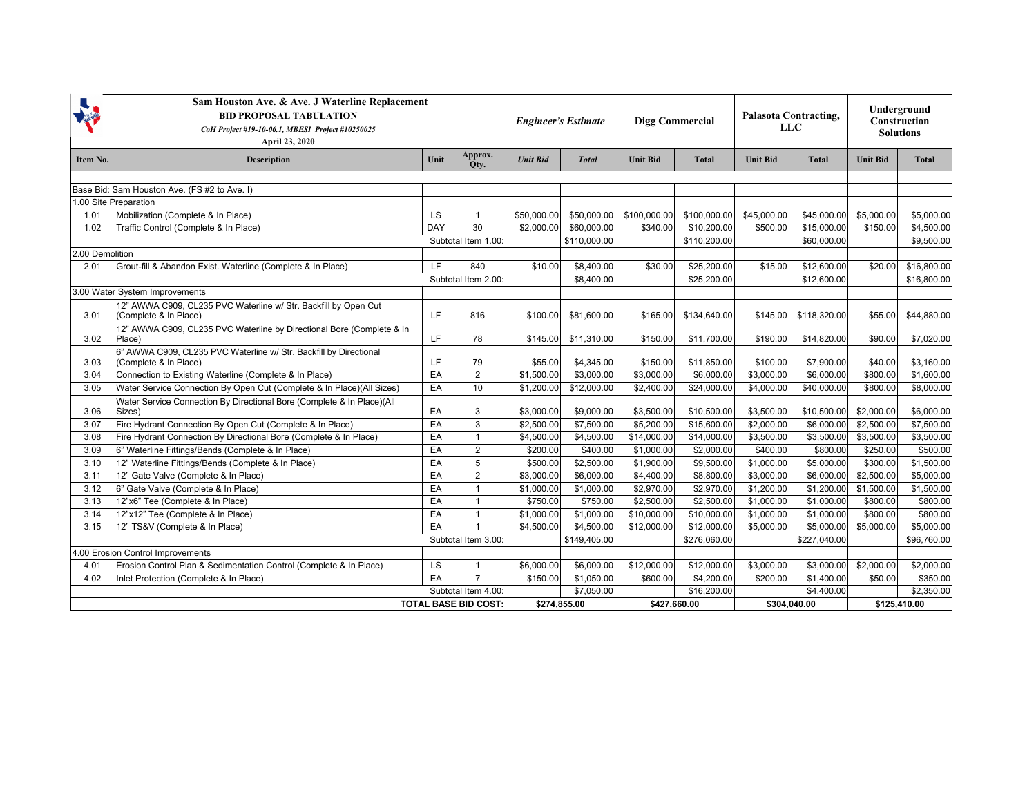|                                              | Sam Houston Ave. & Ave. J Waterline Replacement<br><b>BID PROPOSAL TABULATION</b><br>CoH Project #19-10-06.1, MBESI Project #10250025<br>April 23, 2020 |           |                     | <b>Engineer's Estimate</b> |              | <b>Digg Commercial</b> |              | <b>Palasota Contracting,</b><br><b>LLC</b> |              | Underground<br>Construction<br><b>Solutions</b> |              |
|----------------------------------------------|---------------------------------------------------------------------------------------------------------------------------------------------------------|-----------|---------------------|----------------------------|--------------|------------------------|--------------|--------------------------------------------|--------------|-------------------------------------------------|--------------|
| Item No.                                     | <b>Description</b>                                                                                                                                      | Unit      | Approx.<br>Otv.     | <b>Unit Bid</b>            | <b>Total</b> | <b>Unit Bid</b>        | <b>Total</b> | <b>Unit Bid</b>                            | <b>Total</b> | <b>Unit Bid</b>                                 | <b>Total</b> |
|                                              |                                                                                                                                                         |           |                     |                            |              |                        |              |                                            |              |                                                 |              |
| Base Bid: Sam Houston Ave. (FS #2 to Ave. I) |                                                                                                                                                         |           |                     |                            |              |                        |              |                                            |              |                                                 |              |
|                                              | 1.00 Site Preparation                                                                                                                                   |           |                     |                            |              |                        |              |                                            |              |                                                 |              |
| 1.01                                         | Mobilization (Complete & In Place)                                                                                                                      | <b>LS</b> | $\mathbf{1}$        | \$50,000.00                | \$50,000.00  | \$100,000.00           | \$100,000.00 | \$45,000.00                                | \$45,000.00  | \$5,000.00                                      | \$5,000.00   |
| 1.02                                         | Traffic Control (Complete & In Place)                                                                                                                   | DAY       | 30                  | \$2,000.00                 | \$60,000.00  | \$340.00               | \$10,200.00  | \$500.00                                   | \$15,000.00  | \$150.00                                        | \$4,500.00   |
|                                              |                                                                                                                                                         |           | Subtotal Item 1.00: |                            | \$110,000.00 |                        | \$110,200.00 |                                            | \$60,000.00  |                                                 | \$9,500.00   |
| 2.00 Demolition                              |                                                                                                                                                         |           |                     |                            |              |                        |              |                                            |              |                                                 |              |
| 2.01                                         | Grout-fill & Abandon Exist. Waterline (Complete & In Place)                                                                                             | LF.       | 840                 | \$10.00                    | \$8,400.00   | \$30.00                | \$25,200.00  | \$15.00                                    | \$12,600.00  | \$20.00                                         | \$16,800.00  |
|                                              |                                                                                                                                                         |           | Subtotal Item 2.00: |                            | \$8,400.00   |                        | \$25,200.00  |                                            | \$12,600.00  |                                                 | \$16,800.00  |
|                                              | 3.00 Water System Improvements                                                                                                                          |           |                     |                            |              |                        |              |                                            |              |                                                 |              |
| 3.01                                         | 12" AWWA C909, CL235 PVC Waterline w/ Str. Backfill by Open Cut<br>(Complete & In Place)                                                                | LF.       | 816                 | \$100.00                   | \$81,600.00  | \$165.00               | \$134,640.00 | \$145.00                                   | \$118,320.00 | \$55.00                                         | \$44,880.00  |
| 3.02                                         | 12" AWWA C909, CL235 PVC Waterline by Directional Bore (Complete & In<br>Place)                                                                         | LF.       | 78                  | \$145.00                   | \$11,310.00  | \$150.00               | \$11,700.00  | \$190.00                                   | \$14,820.00  | \$90.00                                         | \$7,020.00   |
| 3.03                                         | 6" AWWA C909, CL235 PVC Waterline w/ Str. Backfill by Directional<br>(Complete & In Place)                                                              | <b>LF</b> | 79                  | \$55.00                    | \$4,345.00   | \$150.00               | \$11,850.00  | \$100.00                                   | \$7,900.00   | \$40.00                                         | \$3,160.00   |
| 3.04                                         | Connection to Existing Waterline (Complete & In Place)                                                                                                  | EA        | $\overline{2}$      | \$1,500.00                 | \$3,000.00   | \$3,000.00             | \$6,000.00   | \$3,000.00                                 | \$6,000.00   | \$800.00                                        | \$1,600.00   |
| 3.05                                         | Water Service Connection By Open Cut (Complete & In Place)(All Sizes)                                                                                   | EA        | 10                  | \$1,200.00                 | \$12,000.00  | \$2,400.00             | \$24,000.00  | \$4,000.00                                 | \$40,000.00  | \$800.00                                        | \$8,000.00   |
| 3.06                                         | Water Service Connection By Directional Bore (Complete & In Place)(All<br>Sizes)                                                                        | EA        | 3                   | \$3,000.00                 | \$9,000.00   | \$3,500.00             | \$10,500.00  | \$3,500.00                                 | \$10,500.00  | \$2,000.00                                      | \$6,000.00   |
| 3.07                                         | Fire Hydrant Connection By Open Cut (Complete & In Place)                                                                                               | EA        | 3                   | \$2,500.00                 | \$7,500.00   | \$5,200.00             | \$15,600.00  | \$2,000.00                                 | \$6,000.00   | \$2,500.00                                      | \$7,500.00   |
| 3.08                                         | Fire Hydrant Connection By Directional Bore (Complete & In Place)                                                                                       | EA        | $\mathbf{1}$        | \$4,500.00                 | \$4,500.00   | \$14,000.00            | \$14,000.00  | \$3,500.00                                 | \$3,500.00   | \$3,500.00                                      | \$3,500.00   |
| 3.09                                         | 6" Waterline Fittings/Bends (Complete & In Place)                                                                                                       | EA        | $\overline{2}$      | \$200.00                   | \$400.00     | \$1,000.00             | \$2,000.00   | \$400.00                                   | \$800.00     | \$250.00                                        | \$500.00     |
| 3.10                                         | 12" Waterline Fittings/Bends (Complete & In Place)                                                                                                      | EA        | 5                   | \$500.00                   | \$2,500.00   | \$1,900.00             | \$9,500.00   | \$1,000.00                                 | \$5,000.00   | \$300.00                                        | \$1,500.00   |
| 3.11                                         | 12" Gate Valve (Complete & In Place)                                                                                                                    | EA        | $\overline{2}$      | \$3,000.00                 | \$6,000.00   | \$4,400.00             | \$8,800.00   | \$3,000.00                                 | \$6,000.00   | \$2,500.00                                      | \$5,000.00   |
| 3.12                                         | 6" Gate Valve (Complete & In Place)                                                                                                                     | EA        | $\mathbf{1}$        | \$1,000.00                 | \$1,000.00   | \$2,970.00             | \$2,970.00   | \$1,200.00                                 | \$1,200.00   | \$1,500.00                                      | \$1,500.00   |
| 3.13                                         | 12"x6" Tee (Complete & In Place)                                                                                                                        | EA        | $\mathbf{1}$        | \$750.00                   | \$750.00     | \$2,500.00             | \$2,500.00   | \$1,000.00                                 | \$1,000.00   | \$800.00                                        | \$800.00     |
| 3.14                                         | 12"x12" Tee (Complete & In Place)                                                                                                                       | EA        | $\mathbf{1}$        | \$1,000.00                 | \$1,000.00   | \$10,000.00            | \$10,000.00  | \$1,000.00                                 | \$1,000.00   | \$800.00                                        | \$800.00     |
| 3.15                                         | 12" TS&V (Complete & In Place)                                                                                                                          | EA        | $\overline{1}$      | \$4,500.00                 | \$4,500.00   | \$12,000.00            | \$12,000.00  | \$5,000.00                                 | \$5,000.00   | \$5,000.00                                      | \$5,000.00   |
|                                              |                                                                                                                                                         |           | Subtotal Item 3.00: |                            | \$149,405.00 |                        | \$276,060.00 |                                            | \$227,040.00 |                                                 | \$96,760.00  |
| 4.00 Erosion Control Improvements            |                                                                                                                                                         |           |                     |                            |              |                        |              |                                            |              |                                                 |              |
| 4.01                                         | Erosion Control Plan & Sedimentation Control (Complete & In Place)                                                                                      | LS        | $\mathbf{1}$        | \$6,000.00                 | \$6,000.00   | \$12,000.00            | \$12,000.00  | \$3,000.00                                 | \$3,000.00   | \$2,000.00                                      | \$2,000.00   |
| 4.02                                         | Inlet Protection (Complete & In Place)                                                                                                                  | EA        | $\overline{7}$      | \$150.00                   | \$1,050.00   | \$600.00               | \$4,200.00   | \$200.00                                   | \$1,400.00   | \$50.00                                         | \$350.00     |
| Subtotal Item 4.00:                          |                                                                                                                                                         |           |                     |                            | \$7,050.00   |                        | \$16,200.00  |                                            | \$4,400.00   |                                                 | \$2,350.00   |
| <b>TOTAL BASE BID COST:</b>                  |                                                                                                                                                         |           | \$274,855.00        |                            | \$427,660.00 |                        | \$304,040.00 |                                            | \$125,410.00 |                                                 |              |